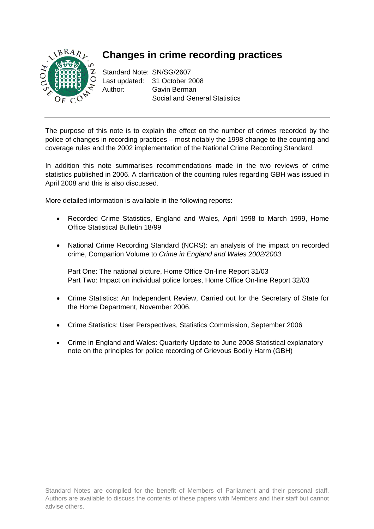

# **Changes in crime recording practices**

Standard Note: SN/SG/2607 Last updated: 31 October 2008 Author: Gavin Berman Social and General Statistics

The purpose of this note is to explain the effect on the number of crimes recorded by the police of changes in recording practices – most notably the 1998 change to the counting and coverage rules and the 2002 implementation of the National Crime Recording Standard.

In addition this note summarises recommendations made in the two reviews of crime statistics published in 2006. A clarification of the counting rules regarding GBH was issued in April 2008 and this is also discussed.

More detailed information is available in the following reports:

- Recorded Crime Statistics, England and Wales, April 1998 to March 1999, Home Office Statistical Bulletin 18/99
- National Crime Recording Standard (NCRS): an analysis of the impact on recorded crime, Companion Volume to *Crime in England and Wales 2002/2003*

Part One: The national picture, Home Office On-line Report 31/03 Part Two: Impact on individual police forces, Home Office On-line Report 32/03

- Crime Statistics: An Independent Review, Carried out for the Secretary of State for the Home Department, November 2006.
- Crime Statistics: User Perspectives, Statistics Commission, September 2006
- Crime in England and Wales: Quarterly Update to June 2008 Statistical explanatory note on the principles for police recording of Grievous Bodily Harm (GBH)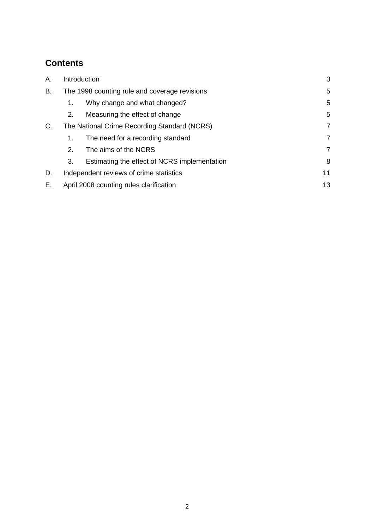# **Contents**

| Α. | Introduction                                  |                                              |   |  |  |  |
|----|-----------------------------------------------|----------------------------------------------|---|--|--|--|
| В. | The 1998 counting rule and coverage revisions | 5                                            |   |  |  |  |
|    | 1.                                            | Why change and what changed?                 | 5 |  |  |  |
|    | 2.                                            | Measuring the effect of change               | 5 |  |  |  |
| C. | The National Crime Recording Standard (NCRS)  | 7                                            |   |  |  |  |
|    | 1.                                            | The need for a recording standard            | 7 |  |  |  |
|    | 2.                                            | The aims of the NCRS                         | 7 |  |  |  |
|    | 3.                                            | Estimating the effect of NCRS implementation | 8 |  |  |  |
| D. | Independent reviews of crime statistics       | 11                                           |   |  |  |  |
| Е. | April 2008 counting rules clarification       |                                              |   |  |  |  |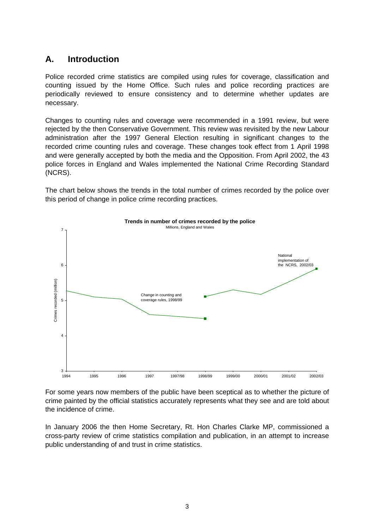## <span id="page-2-0"></span>**A. Introduction**

Police recorded crime statistics are compiled using rules for coverage, classification and counting issued by the Home Office. Such rules and police recording practices are periodically reviewed to ensure consistency and to determine whether updates are necessary.

Changes to counting rules and coverage were recommended in a 1991 review, but were rejected by the then Conservative Government. This review was revisited by the new Labour administration after the 1997 General Election resulting in significant changes to the recorded crime counting rules and coverage. These changes took effect from 1 April 1998 and were generally accepted by both the media and the Opposition. From April 2002, the 43 police forces in England and Wales implemented the National Crime Recording Standard (NCRS).

The chart below shows the trends in the total number of crimes recorded by the police over this period of change in police crime recording practices.



For some years now members of the public have been sceptical as to whether the picture of crime painted by the official statistics accurately represents what they see and are told about the incidence of crime.

In January 2006 the then Home Secretary, Rt. Hon Charles Clarke MP, commissioned a cross-party review of crime statistics compilation and publication, in an attempt to increase public understanding of and trust in crime statistics.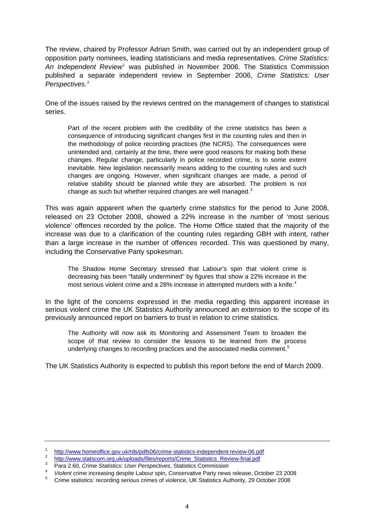The review, chaired by Professor Adrian Smith, was carried out by an independent group of opposition party nominees, leading statisticians and media representatives. *Crime Statistics: An Independent Review[1](#page-3-0)* was published in November 2006. The Statistics Commission published a separate independent review in September 2006, *Crime Statistics: User Perspectives*. [2](#page-3-1)

One of the issues raised by the reviews centred on the management of changes to statistical series.

Part of the recent problem with the credibility of the crime statistics has been a consequence of introducing significant changes first in the counting rules and then in the methodology of police recording practices (the NCRS). The consequences were unintended and, certainly at the time, there were good reasons for making both these changes. Regular change, particularly in police recorded crime, is to some extent inevitable. New legislation necessarily means adding to the counting rules and such changes are ongoing. However, when significant changes are made, a period of relative stability should be planned while they are absorbed. The problem is not change as such but whether required changes are well managed.<sup>[3](#page-3-2)</sup>

This was again apparent when the quarterly crime statistics for the period to June 2008, released on 23 October 2008, showed a 22% increase in the number of 'most serious violence' offences recorded by the police. The Home Office stated that the majority of the increase was due to a clarification of the counting rules regarding GBH with intent, rather than a large increase in the number of offences recorded. This was questioned by many, including the Conservative Party spokesman.

The Shadow Home Secretary stressed that Labour's spin that violent crime is decreasing has been "fatally undermined" by figures that show a 22% increase in the most serious violent crime and a 28% increase in attempted murders with a knife.<sup>[4](#page-3-3)</sup>

In the light of the concerns expressed in the media regarding this apparent increase in serious violent crime the UK Statistics Authority announced an extension to the scope of its previously announced report on barriers to trust in relation to crime statistics.

The Authority will now ask its Monitoring and Assessment Team to broaden the scope of that review to consider the lessons to be learned from the process underlying changes to recording practices and the associated media comment.<sup>[5](#page-3-4)</sup>

The UK Statistics Authority is expected to publish this report before the end of March 2009.

<span id="page-3-0"></span><sup>1</sup> <http://www.homeoffice.gov.uk/rds/pdfs06/crime-statistics-independent-review-06.pdf>

<span id="page-3-1"></span><sup>2</sup> [http://www.statscom.org.uk/uploads/files/reports/Crime\\_Statistics\\_Review-final.pdf](http://www.statscom.org.uk/uploads/files/reports/Crime_Statistics_Review-final.pdf)

<span id="page-3-2"></span><sup>&</sup>lt;sup>3</sup> Para 2.60, *Crime Statistics: User Perspectives, Statistics Commission*<br><sup>4</sup> *Violent erime increasing despite Labour spin. Conservative Perty navgue* 

<span id="page-3-3"></span><sup>&</sup>lt;sup>4</sup> Violent crime increasing despite Labour spin, Conservative Party news release, October 23 2008<br><sup>5</sup> Crime statistics: recording estisue crimes of violence, UK Statistics Authority, 20 October 2008

<span id="page-3-4"></span>Crime statistics: recording serious crimes of violence, UK Statistics Authority, 29 October 2008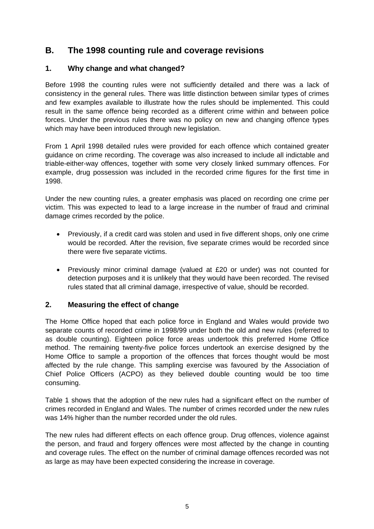## <span id="page-4-0"></span>**B. The 1998 counting rule and coverage revisions**

#### **1. Why change and what changed?**

Before 1998 the counting rules were not sufficiently detailed and there was a lack of consistency in the general rules. There was little distinction between similar types of crimes and few examples available to illustrate how the rules should be implemented. This could result in the same offence being recorded as a different crime within and between police forces. Under the previous rules there was no policy on new and changing offence types which may have been introduced through new legislation.

From 1 April 1998 detailed rules were provided for each offence which contained greater guidance on crime recording. The coverage was also increased to include all indictable and triable-either-way offences, together with some very closely linked summary offences. For example, drug possession was included in the recorded crime figures for the first time in 1998.

Under the new counting rules, a greater emphasis was placed on recording one crime per victim. This was expected to lead to a large increase in the number of fraud and criminal damage crimes recorded by the police.

- Previously, if a credit card was stolen and used in five different shops, only one crime would be recorded. After the revision, five separate crimes would be recorded since there were five separate victims.
- Previously minor criminal damage (valued at £20 or under) was not counted for detection purposes and it is unlikely that they would have been recorded. The revised rules stated that all criminal damage, irrespective of value, should be recorded.

### **2. Measuring the effect of change**

The Home Office hoped that each police force in England and Wales would provide two separate counts of recorded crime in 1998/99 under both the old and new rules (referred to as double counting). Eighteen police force areas undertook this preferred Home Office method. The remaining twenty-five police forces undertook an exercise designed by the Home Office to sample a proportion of the offences that forces thought would be most affected by the rule change. This sampling exercise was favoured by the Association of Chief Police Officers (ACPO) as they believed double counting would be too time consuming.

Table 1 shows that the adoption of the new rules had a significant effect on the number of crimes recorded in England and Wales. The number of crimes recorded under the new rules was 14% higher than the number recorded under the old rules.

The new rules had different effects on each offence group. Drug offences, violence against the person, and fraud and forgery offences were most affected by the change in counting and coverage rules. The effect on the number of criminal damage offences recorded was not as large as may have been expected considering the increase in coverage.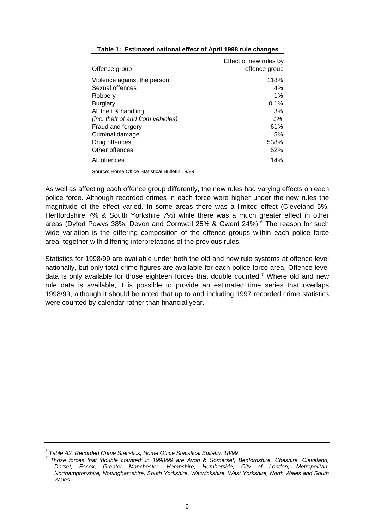| Offence group                     | Effect of new rules by<br>offence group |
|-----------------------------------|-----------------------------------------|
| Violence against the person       | 118%                                    |
| Sexual offences<br>Robbery        | 4%<br>$1\%$                             |
| <b>Burglary</b>                   | 0.1%                                    |
| All theft & handling              | 3%                                      |
| (inc. theft of and from vehicles) | 1%                                      |
| Fraud and forgery                 | 61%                                     |
| Criminal damage                   | 5%                                      |
| Drug offences                     | 538%                                    |
| Other offences                    | 52%                                     |
| All offences                      | 14%                                     |

#### **Table 1: Estimated national effect of April 1998 rule changes**

Source: Home Office Statistical Bulletin 18/99

As well as affecting each offence group differently, the new rules had varying effects on each police force. Although recorded crimes in each force were higher under the new rules the magnitude of the effect varied. In some areas there was a limited effect (Cleveland 5%, Hertfordshire 7% & South Yorkshire 7%) while there was a much greater effect in other areas (Dyfed Powys 38%, Devon and Cornwall 25% & Gwent 24%).<sup>[6](#page-5-0)</sup> The reason for such wide variation is the differing composition of the offence groups within each police force area, together with differing interpretations of the previous rules.

Statistics for 1998/99 are available under both the old and new rule systems at offence level nationally, but only total crime figures are available for each police force area. Offence level data is only available for those eighteen forces that double counted.<sup>[7](#page-5-1)</sup> Where old and new rule data is available, it is possible to provide an estimated time series that overlaps 1998/99, although it should be noted that up to and including 1997 recorded crime statistics were counted by calendar rather than financial year.

<span id="page-5-0"></span><sup>&</sup>lt;sup>6</sup> Table A2, Recorded Crime Statistics, Home Office Statistical Bulletin, 18/99<br><sup>7</sup> These farses that 'double sounted' in 1998/99 are Aven & Someract

<span id="page-5-1"></span>*Those forces that 'double counted' in 1998/99 are Avon & Somerset, Bedfordshire, Cheshire, Cleveland, Dorset, Essex, Greater Manchester, Hampshire, Humberside, City of London, Metropolitan, Northamptonshire, Nottinghamshire, South Yorkshire, Warwickshire, West Yorkshire, North Wales and South Wales.*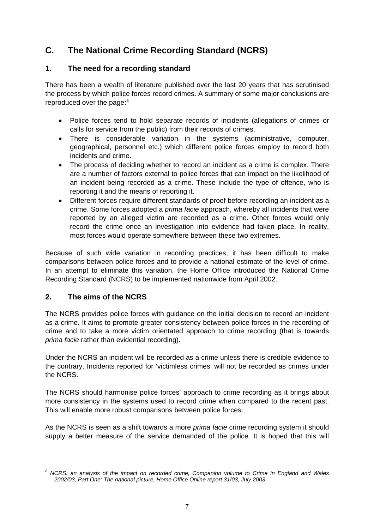# <span id="page-6-0"></span>**C. The National Crime Recording Standard (NCRS)**

#### **1. The need for a recording standard**

There has been a wealth of literature published over the last 20 years that has scrutinised the process by which police forces record crimes. A summary of some major conclusions are reproduced over the page:<sup>[8](#page-6-1)</sup>

- Police forces tend to hold separate records of incidents (allegations of crimes or calls for service from the public) from their records of crimes.
- There is considerable variation in the systems (administrative, computer, geographical, personnel etc.) which different police forces employ to record both incidents and crime.
- The process of deciding whether to record an incident as a crime is complex. There are a number of factors external to police forces that can impact on the likelihood of an incident being recorded as a crime. These include the type of offence, who is reporting it and the means of reporting it.
- Different forces require different standards of proof before recording an incident as a crime. Some forces adopted a *prima facie* approach, whereby all incidents that were reported by an alleged victim are recorded as a crime. Other forces would only record the crime once an investigation into evidence had taken place. In reality, most forces would operate somewhere between these two extremes.

Because of such wide variation in recording practices, it has been difficult to make comparisons between police forces and to provide a national estimate of the level of crime. In an attempt to eliminate this variation, the Home Office introduced the National Crime Recording Standard (NCRS) to be implemented nationwide from April 2002.

### **2. The aims of the NCRS**

The NCRS provides police forces with guidance on the initial decision to record an incident as a crime. It aims to promote greater consistency between police forces in the recording of crime and to take a more victim orientated approach to crime recording (that is towards *prima facie* rather than evidential recording).

Under the NCRS an incident will be recorded as a crime unless there is credible evidence to the contrary. Incidents reported for 'victimless crimes' will not be recorded as crimes under the NCRS.

The NCRS should harmonise police forces' approach to crime recording as it brings about more consistency in the systems used to record crime when compared to the recent past. This will enable more robust comparisons between police forces.

As the NCRS is seen as a shift towards a more *prima facie* crime recording system it should supply a better measure of the service demanded of the police. It is hoped that this will

<span id="page-6-1"></span>*<sup>8</sup> NCRS: an analysis of the impact on recorded crime, Companion volume to Crime in England and Wales 2002/03, Part One: The national picture, Home Office Online report 31/03, July 2003*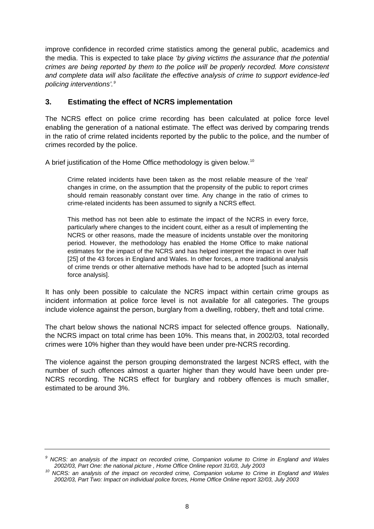<span id="page-7-0"></span>improve confidence in recorded crime statistics among the general public, academics and the media. This is expected to take place *'by giving victims the assurance that the potential crimes are being reported by them to the police will be properly recorded. More consistent and complete data will also facilitate the effective analysis of crime to support evidence-led policing interventions'.[9](#page-7-1)*

#### **3. Estimating the effect of NCRS implementation**

The NCRS effect on police crime recording has been calculated at police force level enabling the generation of a national estimate. The effect was derived by comparing trends in the ratio of crime related incidents reported by the public to the police, and the number of crimes recorded by the police.

A brief justification of the Home Office methodology is given below.[10](#page-7-2)

Crime related incidents have been taken as the most reliable measure of the 'real' changes in crime, on the assumption that the propensity of the public to report crimes should remain reasonably constant over time. Any change in the ratio of crimes to crime-related incidents has been assumed to signify a NCRS effect.

This method has not been able to estimate the impact of the NCRS in every force, particularly where changes to the incident count, either as a result of implementing the NCRS or other reasons, made the measure of incidents unstable over the monitoring period. However, the methodology has enabled the Home Office to make national estimates for the impact of the NCRS and has helped interpret the impact in over half [25] of the 43 forces in England and Wales. In other forces, a more traditional analysis of crime trends or other alternative methods have had to be adopted [such as internal force analysis].

It has only been possible to calculate the NCRS impact within certain crime groups as incident information at police force level is not available for all categories. The groups include violence against the person, burglary from a dwelling, robbery, theft and total crime.

The chart below shows the national NCRS impact for selected offence groups. Nationally, the NCRS impact on total crime has been 10%. This means that, in 2002/03, total recorded crimes were 10% higher than they would have been under pre-NCRS recording.

The violence against the person grouping demonstrated the largest NCRS effect, with the number of such offences almost a quarter higher than they would have been under pre-NCRS recording. The NCRS effect for burglary and robbery offences is much smaller, estimated to be around 3%.

<span id="page-7-1"></span>*<sup>9</sup> NCRS: an analysis of the impact on recorded crime, Companion volume to Crime in England and Wales 2002/03, Part One: the national picture , Home Office Online report 31/03, July 2003 10 NCRS: an analysis of the impact on recorded crime, Companion volume to Crime in England and Wales* 

<span id="page-7-2"></span>*<sup>2002/03,</sup> Part Two: Impact on individual police forces, Home Office Online report 32/03, July 2003*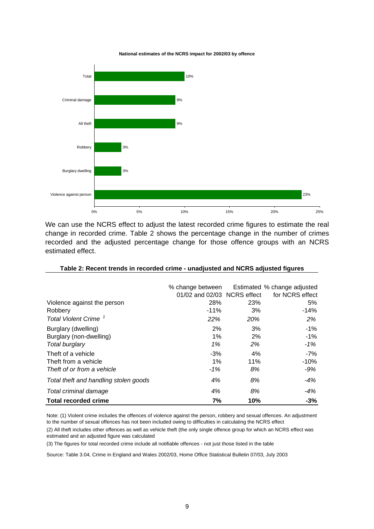#### **National estimates of the NCRS impact for 2002/03 by offence**



We can use the NCRS effect to adjust the latest recorded crime figures to estimate the real change in recorded crime. Table 2 shows the percentage change in the number of crimes recorded and the adjusted percentage change for those offence groups with an NCRS estimated effect.

|                                       |                             |     | % change between Estimated % change adjusted |
|---------------------------------------|-----------------------------|-----|----------------------------------------------|
|                                       | 01/02 and 02/03 NCRS effect |     | for NCRS effect                              |
| Violence against the person           | 28%                         | 23% | 5%                                           |
| Robbery                               | $-11%$                      | 3%  | $-14%$                                       |
| <b>Total Violent Crime</b>            | 22%                         | 20% | 2%                                           |
| Burglary (dwelling)                   | 2%                          | 3%  | -1%                                          |
| Burglary (non-dwelling)               | 1%                          | 2%  | $-1\%$                                       |
| Total burglary                        | 1%                          | 2%  | $-1\%$                                       |
| Theft of a vehicle                    | $-3%$                       | 4%  | $-7%$                                        |
| Theft from a vehicle                  | $1\%$                       | 11% | $-10%$                                       |
| Theft of or from a vehicle            | $-1%$                       | 8%  | -9%                                          |
| Total theft and handling stolen goods | 4%                          | 8%  | $-4%$                                        |
| Total criminal damage                 | 4%                          | 8%  | $-4%$                                        |
| <b>Total recorded crime</b>           | 7%                          | 10% | $-3%$                                        |

Note: (1) Violent crime includes the offences of violence against the person, robbery and sexual offences. An adjustment to the number of sexual offences has not been included owing to difficulties in calculating the NCRS effect

(2) All theft includes other offences as well as vehicle theft (the only single offence group for which an NCRS effect was estimated and an adjusted figure was calculated

(3) The figures for total recorded crime include all notifiable offences - not just those listed in the table

Source: Table 3.04, Crime in England and Wales 2002/03, Home Office Statistical Bulletin 07/03, July 2003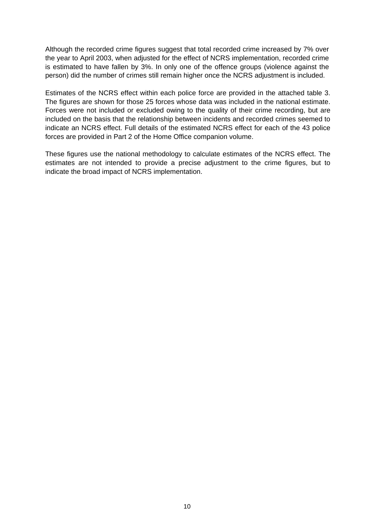Although the recorded crime figures suggest that total recorded crime increased by 7% over the year to April 2003, when adjusted for the effect of NCRS implementation, recorded crime is estimated to have fallen by 3%. In only one of the offence groups (violence against the person) did the number of crimes still remain higher once the NCRS adjustment is included.

Estimates of the NCRS effect within each police force are provided in the attached table 3. The figures are shown for those 25 forces whose data was included in the national estimate. Forces were not included or excluded owing to the quality of their crime recording, but are included on the basis that the relationship between incidents and recorded crimes seemed to indicate an NCRS effect. Full details of the estimated NCRS effect for each of the 43 police forces are provided in Part 2 of the Home Office companion volume.

These figures use the national methodology to calculate estimates of the NCRS effect. The estimates are not intended to provide a precise adjustment to the crime figures, but to indicate the broad impact of NCRS implementation.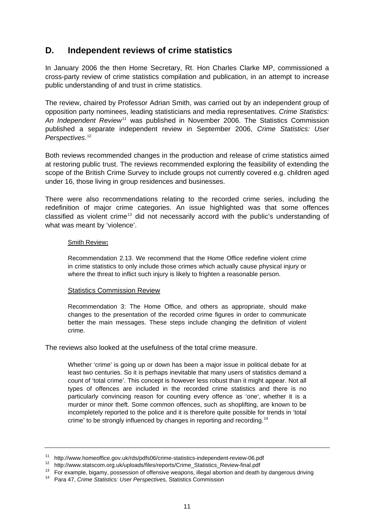### <span id="page-10-0"></span>**D. Independent reviews of crime statistics**

In January 2006 the then Home Secretary, Rt. Hon Charles Clarke MP, commissioned a cross-party review of crime statistics compilation and publication, in an attempt to increase public understanding of and trust in crime statistics.

The review, chaired by Professor Adrian Smith, was carried out by an independent group of opposition party nominees, leading statisticians and media representatives. *Crime Statistics: An Independent Review[11](#page-10-1)* was published in November 2006. The Statistics Commission published a separate independent review in September 2006, *Crime Statistics: User Perspectives*. [12](#page-10-2)

Both reviews recommended changes in the production and release of crime statistics aimed at restoring public trust. The reviews recommended exploring the feasibility of extending the scope of the British Crime Survey to include groups not currently covered e.g. children aged under 16, those living in group residences and businesses.

There were also recommendations relating to the recorded crime series, including the redefinition of major crime categories. An issue highlighted was that some offences classified as violent crime<sup>[13](#page-10-3)</sup> did not necessarily accord with the public's understanding of what was meant by 'violence'.

#### Smith Review**:**

Recommendation 2.13. We recommend that the Home Office redefine violent crime in crime statistics to only include those crimes which actually cause physical injury or where the threat to inflict such injury is likely to frighten a reasonable person.

#### Statistics Commission Review

Recommendation 3: The Home Office, and others as appropriate, should make changes to the presentation of the recorded crime figures in order to communicate better the main messages. These steps include changing the definition of violent crime.

The reviews also looked at the usefulness of the total crime measure.

Whether 'crime' is going up or down has been a major issue in political debate for at least two centuries. So it is perhaps inevitable that many users of statistics demand a count of 'total crime'. This concept is however less robust than it might appear. Not all types of offences are included in the recorded crime statistics and there is no particularly convincing reason for counting every offence as 'one', whether it is a murder or minor theft. Some common offences, such as shoplifting, are known to be incompletely reported to the police and it is therefore quite possible for trends in 'total crime' to be strongly influenced by changes in reporting and recording.<sup>[14](#page-10-4)</sup>

<span id="page-10-2"></span>

<span id="page-10-1"></span><sup>&</sup>lt;sup>11</sup> http://www.homeoffice.gov.uk/rds/pdfs06/crime-statistics-independent-review-06.pdf<br><sup>12</sup> http://www.statscom.org.uk/uploads/files/reports/Crime\_Statistics\_Review-final.pdf<br><sup>13</sup> For example, bigamy, possession of offens

<span id="page-10-4"></span><span id="page-10-3"></span>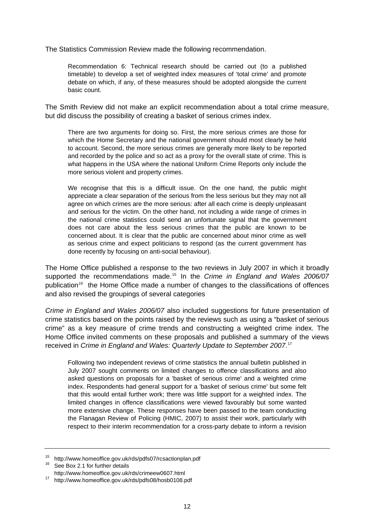The Statistics Commission Review made the following recommendation.

Recommendation 6: Technical research should be carried out (to a published timetable) to develop a set of weighted index measures of 'total crime' and promote debate on which, if any, of these measures should be adopted alongside the current basic count.

The Smith Review did not make an explicit recommendation about a total crime measure, but did discuss the possibility of creating a basket of serious crimes index.

There are two arguments for doing so. First, the more serious crimes are those for which the Home Secretary and the national government should most clearly be held to account. Second, the more serious crimes are generally more likely to be reported and recorded by the police and so act as a proxy for the overall state of crime. This is what happens in the USA where the national Uniform Crime Reports only include the more serious violent and property crimes.

We recognise that this is a difficult issue. On the one hand, the public might appreciate a clear separation of the serious from the less serious but they may not all agree on which crimes are the more serious: after all each crime is deeply unpleasant and serious for the victim. On the other hand, not including a wide range of crimes in the national crime statistics could send an unfortunate signal that the government does not care about the less serious crimes that the public are known to be concerned about. It is clear that the public are concerned about minor crime as well as serious crime and expect politicians to respond (as the current government has done recently by focusing on anti-social behaviour).

The Home Office published a response to the two reviews in July 2007 in which it broadly supported the recommendations made.[15](#page-11-0) In the *Crime in England and Wales 2006/07*  publication*[16](#page-11-1)* the Home Office made a number of changes to the classifications of offences and also revised the groupings of several categories

*Crime in England and Wales 2006/07* also included suggestions for future presentation of crime statistics based on the points raised by the reviews such as using a "basket of serious crime" as a key measure of crime trends and constructing a weighted crime index. The Home Office invited comments on these proposals and published a summary of the views received in *Crime in England and Wales: Quarterly Update to September 2007*. [17](#page-11-2)

Following two independent reviews of crime statistics the annual bulletin published in July 2007 sought comments on limited changes to offence classifications and also asked questions on proposals for a 'basket of serious crime' and a weighted crime index. Respondents had general support for a 'basket of serious crime' but some felt that this would entail further work; there was little support for a weighted index. The limited changes in offence classifications were viewed favourably but some wanted more extensive change. These responses have been passed to the team conducting the Flanagan Review of Policing (HMIC, 2007) to assist their work, particularly with respect to their interim recommendation for a cross-party debate to inform a revision

<span id="page-11-0"></span><sup>15</sup> http://www.homeoffice.gov.uk/rds/pdfs07/rcsactionplan.pdf<br><sup>16</sup> See Box 2.1 for further details

<span id="page-11-2"></span><span id="page-11-1"></span><http://www.homeoffice.gov.uk/rds/crimeew0607.html>17 <http://www.homeoffice.gov.uk/rds/pdfs08/hosb0108.pdf>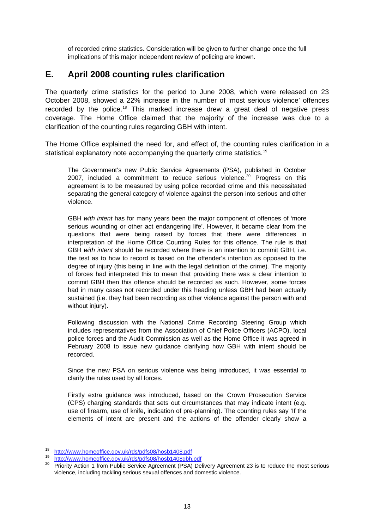<span id="page-12-0"></span>of recorded crime statistics. Consideration will be given to further change once the full implications of this major independent review of policing are known.

### **E. April 2008 counting rules clarification**

The quarterly crime statistics for the period to June 2008, which were released on 23 October 2008, showed a 22% increase in the number of 'most serious violence' offences recorded by the police.<sup>[18](#page-12-1)</sup> This marked increase drew a great deal of negative press coverage. The Home Office claimed that the majority of the increase was due to a clarification of the counting rules regarding GBH with intent.

The Home Office explained the need for, and effect of, the counting rules clarification in a statistical explanatory note accompanying the quarterly crime statistics.<sup>19</sup>

The Government's new Public Service Agreements (PSA), published in October [20](#page-12-3)07, included a commitment to reduce serious violence.<sup>20</sup> Progress on this agreement is to be measured by using police recorded crime and this necessitated separating the general category of violence against the person into serious and other violence.

GBH *with intent* has for many years been the major component of offences of 'more serious wounding or other act endangering life'. However, it became clear from the questions that were being raised by forces that there were differences in interpretation of the Home Office Counting Rules for this offence. The rule is that GBH *with intent* should be recorded where there is an intention to commit GBH, i.e. the test as to how to record is based on the offender's intention as opposed to the degree of injury (this being in line with the legal definition of the crime). The majority of forces had interpreted this to mean that providing there was a clear intention to commit GBH then this offence should be recorded as such. However, some forces had in many cases not recorded under this heading unless GBH had been actually sustained (i.e. they had been recording as other violence against the person with and without injury).

Following discussion with the National Crime Recording Steering Group which includes representatives from the Association of Chief Police Officers (ACPO), local police forces and the Audit Commission as well as the Home Office it was agreed in February 2008 to issue new guidance clarifying how GBH with intent should be recorded.

Since the new PSA on serious violence was being introduced, it was essential to clarify the rules used by all forces.

Firstly extra guidance was introduced, based on the Crown Prosecution Service (CPS) charging standards that sets out circumstances that may indicate intent (e.g. use of firearm, use of knife, indication of pre-planning). The counting rules say 'If the elements of intent are present and the actions of the offender clearly show a

<span id="page-12-1"></span><sup>18</sup> <http://www.homeoffice.gov.uk/rds/pdfs08/hosb1408.pdf>

<http://www.homeoffice.gov.uk/rds/pdfs08/hosb1408gbh.pdf>

<span id="page-12-3"></span><span id="page-12-2"></span><sup>&</sup>lt;sup>20</sup> Priority Action 1 from Public Service Agreement (PSA) Delivery Agreement 23 is to reduce the most serious violence, including tackling serious sexual offences and domestic violence.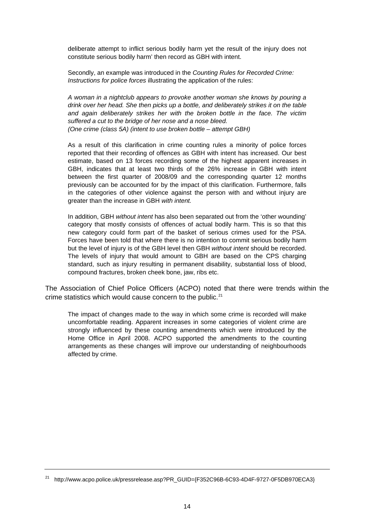deliberate attempt to inflict serious bodily harm yet the result of the injury does not constitute serious bodily harm' then record as GBH with intent.

Secondly, an example was introduced in the *Counting Rules for Recorded Crime: Instructions for police forces* illustrating the application of the rules:

*A woman in a nightclub appears to provoke another woman she knows by pouring a (One crime (class 5A) (intent to use broken bottle – attempt GBH) drink over her head. She then picks up a bottle, and deliberately strikes it on the table and again deliberately strikes her with the broken bottle in the face. The victim suffered a cut to the bridge of her nose and a nose bleed.* 

As a result of this clarification in crime counting rules a minority of police forces reported that their recording of offences as GBH with intent has increased. Our best estimate, based on 13 forces recording some of the highest apparent increases in GBH, indicates that at least two thirds of the 26% increase in GBH with intent between the first quarter of 2008/09 and the corresponding quarter 12 months previously can be accounted for by the impact of this clarification. Furthermore, falls in the categories of other violence against the person with and without injury are greater than the increase in GBH *with intent.* 

In addition, GBH without intent has also been separated out from the 'other wounding' category that mostly consists of offences of actual bodily harm. This is so that this new category could form part of the basket of serious crimes used for the PSA. Forces have been told that where there is no intention to commit serious bodily harm but the level of injury is of the GBH level then GBH *without intent* should be recorded. The levels of injury that would amount to GBH are based on the CPS charging standard, such as injury resulting in permanent disability, substantial loss of blood, compound fractures, broken cheek bone, jaw, ribs etc.

The Association of Chief Police Officers (ACPO) noted that there were trends within the crime statistics which would cause concern to the public.<sup>[21](#page-13-0)</sup>

The impact of changes made to the way in which some crime is recorded will make uncomfortable reading. Apparent increases in some categories of violent crime are strongly influenced by these counting amendments which were introduced by the Home Office in April 2008. ACPO supported the amendments to the counting arrangements as these changes will improve our understanding of neighbourhoods affected by crime.

<span id="page-13-0"></span><sup>&</sup>lt;sup>21</sup> [http://www.acpo.police.uk/pressrelease.asp?PR\\_GUID={F352C96B-6C93-4D4F-9727-0F5DB970ECA3}](http://www.acpo.police.uk/pressrelease.asp?PR_GUID=%7BF352C96B-6C93-4D4F-9727-0F5DB970ECA3%7D)